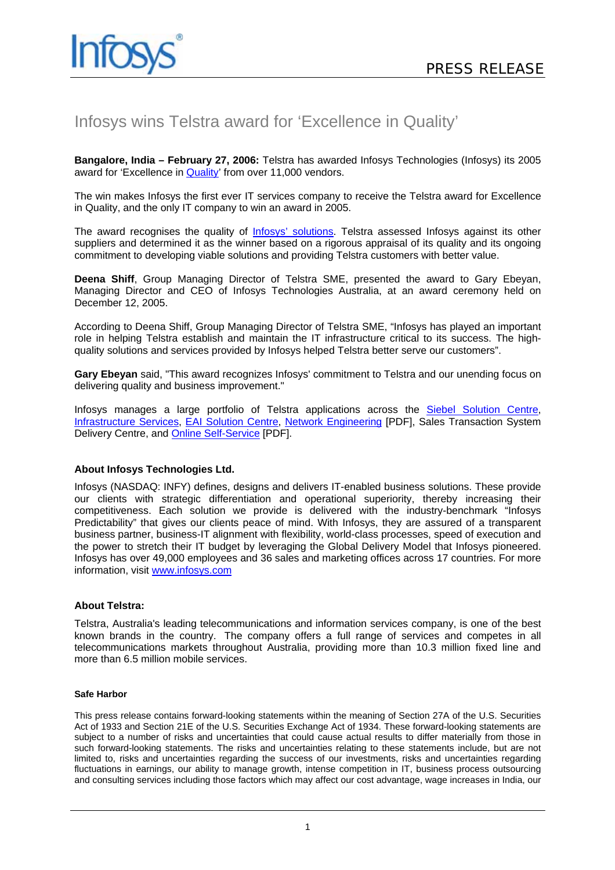

# Infosys wins Telstra award for 'Excellence in Quality'

**Bangalore, India – February 27, 2006:** Telstra has awarded Infosys Technologies (Infosys) its 2005 award for 'Excellence in [Quality'](http://www.infosys.com/services/testing-and-validation/default.asp) from over 11,000 vendors.

The win makes Infosys the first ever IT services company to receive the Telstra award for Excellence in Quality, and the only IT company to win an award in 2005.

The award recognises the quality of **Infosys' solutions**. Telstra assessed Infosys against its other suppliers and determined it as the winner based on a rigorous appraisal of its quality and its ongoing commitment to developing viable solutions and providing Telstra customers with better value.

**Deena Shiff**, Group Managing Director of Telstra SME, presented the award to Gary Ebeyan, Managing Director and CEO of Infosys Technologies Australia, at an award ceremony held on December 12, 2005.

According to Deena Shiff, Group Managing Director of Telstra SME, "Infosys has played an important role in helping Telstra establish and maintain the IT infrastructure critical to its success. The highquality solutions and services provided by Infosys helped Telstra better serve our customers".

**Gary Ebeyan** said, "This award recognizes Infosys' commitment to Telstra and our unending focus on delivering quality and business improvement."

Infosys manages a large portfolio of Telstra applications across the **Siebel Solution Centre**, [Infrastructure Services,](http://www.infosys.com/services/infrastructure-management/default.asp) [EAI Solution Centre](http://www.infosys.com/services/packaged-applications/enterprise_application_integration.asp), [Network Engineering](http://www.infosys.com/industries/communication/white-papers/New_Services_New_Paradigms.pdf) [PDF], Sales Transaction System Delivery Centre, and [Online Self-Service](http://www.infosys.com/industries/communication/white-papers/SelfCare-POV.pdf) [PDF].

## **About Infosys Technologies Ltd.**

Infosys (NASDAQ: INFY) defines, designs and delivers IT-enabled business solutions. These provide our clients with strategic differentiation and operational superiority, thereby increasing their competitiveness. Each solution we provide is delivered with the industry-benchmark "Infosys Predictability" that gives our clients peace of mind. With Infosys, they are assured of a transparent business partner, business-IT alignment with flexibility, world-class processes, speed of execution and the power to stretch their IT budget by leveraging the Global Delivery Model that Infosys pioneered. Infosys has over 49,000 employees and 36 sales and marketing offices across 17 countries. For more information, visit [www.infosys.com](http://www.infosys.com/)

### **About Telstra:**

Telstra, Australia's leading telecommunications and information services company, is one of the best known brands in the country. The company offers a full range of services and competes in all telecommunications markets throughout Australia, providing more than 10.3 million fixed line and more than 6.5 million mobile services.

### **Safe Harbor**

This press release contains forward-looking statements within the meaning of Section 27A of the U.S. Securities Act of 1933 and Section 21E of the U.S. Securities Exchange Act of 1934. These forward-looking statements are subject to a number of risks and uncertainties that could cause actual results to differ materially from those in such forward-looking statements. The risks and uncertainties relating to these statements include, but are not limited to, risks and uncertainties regarding the success of our investments, risks and uncertainties regarding fluctuations in earnings, our ability to manage growth, intense competition in IT, business process outsourcing and consulting services including those factors which may affect our cost advantage, wage increases in India, our